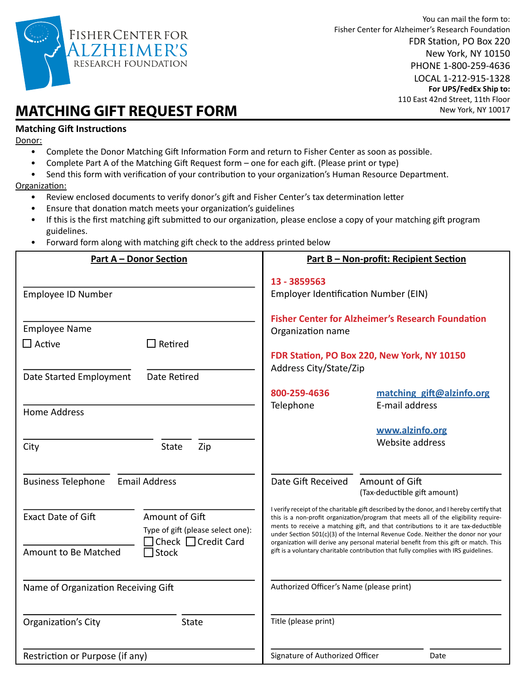

## **MATCHING GIFT REQUEST FORM**

## **Matching Gift Instructions**

Donor:

- Complete the Donor Matching Gift Information Form and return to Fisher Center as soon as possible.
- Complete Part A of the Matching Gift Request form one for each gift. (Please print or type)
- Send this form with verification of your contribution to your organization's Human Resource Department.

Organization:

- Review enclosed documents to verify donor's gift and Fisher Center's tax determination letter
- Ensure that donation match meets your organization's guidelines
- If this is the first matching gift submitted to our organization, please enclose a copy of your matching gift program guidelines.
- Forward form along with matching gift check to the address printed below

| <u>Part A - Donor Section</u>                     |                                                     | <u> Part B - Non-profit: Recipient Section</u>                                                                                                                                                                                                                                                                                                             |                                                          |  |  |
|---------------------------------------------------|-----------------------------------------------------|------------------------------------------------------------------------------------------------------------------------------------------------------------------------------------------------------------------------------------------------------------------------------------------------------------------------------------------------------------|----------------------------------------------------------|--|--|
|                                                   |                                                     | 13 - 3859563                                                                                                                                                                                                                                                                                                                                               |                                                          |  |  |
| Employee ID Number                                |                                                     | <b>Employer Identification Number (EIN)</b>                                                                                                                                                                                                                                                                                                                |                                                          |  |  |
|                                                   |                                                     |                                                                                                                                                                                                                                                                                                                                                            | <b>Fisher Center for Alzheimer's Research Foundation</b> |  |  |
| <b>Employee Name</b>                              |                                                     | Organization name                                                                                                                                                                                                                                                                                                                                          |                                                          |  |  |
| $\Box$ Active                                     | $\Box$ Retired                                      |                                                                                                                                                                                                                                                                                                                                                            |                                                          |  |  |
|                                                   |                                                     |                                                                                                                                                                                                                                                                                                                                                            | FDR Station, PO Box 220, New York, NY 10150              |  |  |
| Date Started Employment                           | Date Retired                                        | Address City/State/Zip                                                                                                                                                                                                                                                                                                                                     |                                                          |  |  |
|                                                   |                                                     | 800-259-4636                                                                                                                                                                                                                                                                                                                                               | matching gift@alzinfo.org                                |  |  |
|                                                   |                                                     | Telephone                                                                                                                                                                                                                                                                                                                                                  | E-mail address                                           |  |  |
| <b>Home Address</b>                               |                                                     |                                                                                                                                                                                                                                                                                                                                                            |                                                          |  |  |
|                                                   |                                                     |                                                                                                                                                                                                                                                                                                                                                            | www.alzinfo.org                                          |  |  |
| City                                              | Zip<br><b>State</b>                                 |                                                                                                                                                                                                                                                                                                                                                            | Website address                                          |  |  |
| <b>Business Telephone</b><br><b>Email Address</b> |                                                     | Date Gift Received                                                                                                                                                                                                                                                                                                                                         | Amount of Gift                                           |  |  |
|                                                   |                                                     |                                                                                                                                                                                                                                                                                                                                                            | (Tax-deductible gift amount)                             |  |  |
| <b>Exact Date of Gift</b>                         | Amount of Gift<br>Type of gift (please select one): | I verify receipt of the charitable gift described by the donor, and I hereby certify that<br>this is a non-profit organization/program that meets all of the eligibility require-<br>ments to receive a matching gift, and that contributions to it are tax-deductible<br>under Section 501(c)(3) of the Internal Revenue Code. Neither the donor nor your |                                                          |  |  |
| Amount to Be Matched                              | $\Box$ Check $\Box$ Credit Card<br>$\Box$ Stock     | organization will derive any personal material benefit from this gift or match. This<br>gift is a voluntary charitable contribution that fully complies with IRS guidelines.                                                                                                                                                                               |                                                          |  |  |
| Name of Organization Receiving Gift               |                                                     | Authorized Officer's Name (please print)                                                                                                                                                                                                                                                                                                                   |                                                          |  |  |
| Organization's City                               | <b>State</b>                                        | Title (please print)                                                                                                                                                                                                                                                                                                                                       |                                                          |  |  |
| Restriction or Purpose (if any)                   |                                                     | Signature of Authorized Officer                                                                                                                                                                                                                                                                                                                            | Date                                                     |  |  |